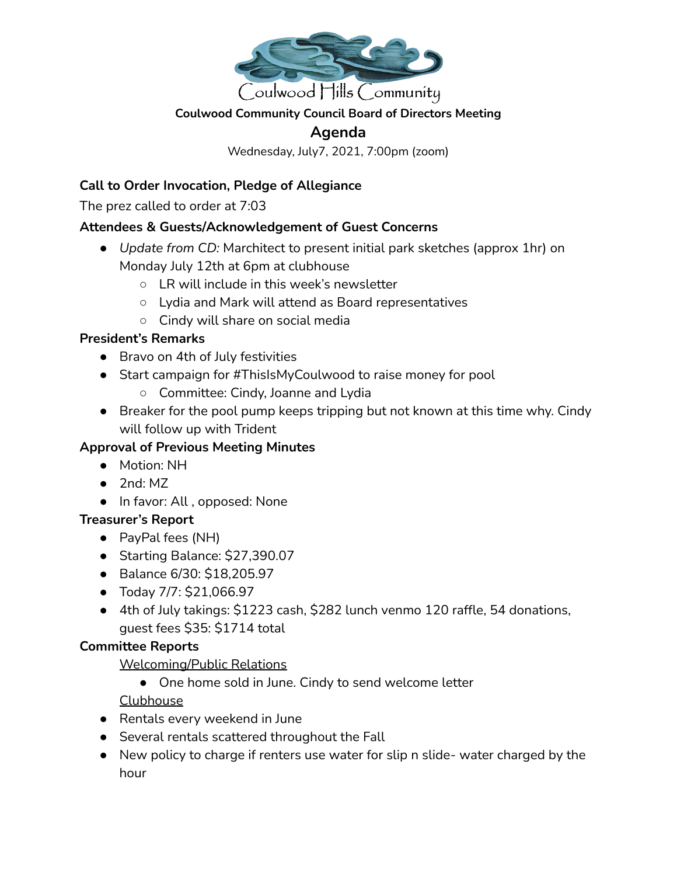

## **Coulwood Community Council Board of Directors Meeting**

# **Agenda**

Wednesday, July7, 2021, 7:00pm (zoom)

## **Call to Order Invocation, Pledge of Allegiance**

The prez called to order at 7:03

## **Attendees & Guests/Acknowledgement of Guest Concerns**

- *Update from CD:* Marchitect to present initial park sketches (approx 1hr) on Monday July 12th at 6pm at clubhouse
	- LR will include in this week's newsletter
	- Lydia and Mark will attend as Board representatives
	- Cindy will share on social media

## **President's Remarks**

- Bravo on 4th of July festivities
- Start campaign for #ThisIsMyCoulwood to raise money for pool
	- Committee: Cindy, Joanne and Lydia
- Breaker for the pool pump keeps tripping but not known at this time why. Cindy will follow up with Trident

## **Approval of Previous Meeting Minutes**

- Motion: NH
- $\bullet$  2nd: MZ
- In favor: All , opposed: None

#### **Treasurer's Report**

- PayPal fees (NH)
- Starting Balance: \$27,390.07
- Balance 6/30: \$18,205.97
- Today 7/7: \$21,066.97
- 4th of July takings: \$1223 cash, \$282 lunch venmo 120 raffle, 54 donations, guest fees \$35: \$1714 total

#### **Committee Reports**

Welcoming/Public Relations

● One home sold in June. Cindy to send welcome letter

Clubhouse

- Rentals every weekend in June
- Several rentals scattered throughout the Fall
- New policy to charge if renters use water for slip n slide- water charged by the hour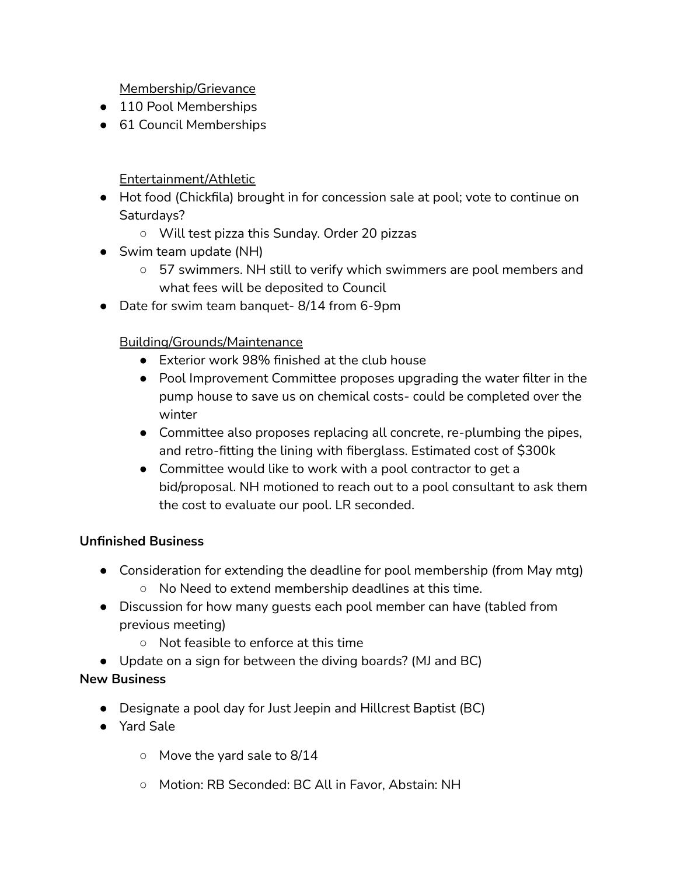Membership/Grievance

- 110 Pool Memberships
- 61 Council Memberships

Entertainment/Athletic

- Hot food (Chickfila) brought in for concession sale at pool; vote to continue on Saturdays?
	- Will test pizza this Sunday. Order 20 pizzas
- Swim team update (NH)
	- 57 swimmers. NH still to verify which swimmers are pool members and what fees will be deposited to Council
- Date for swim team banquet- 8/14 from 6-9pm

Building/Grounds/Maintenance

- Exterior work 98% finished at the club house
- Pool Improvement Committee proposes upgrading the water filter in the pump house to save us on chemical costs- could be completed over the winter
- Committee also proposes replacing all concrete, re-plumbing the pipes, and retro-fitting the lining with fiberglass. Estimated cost of \$300k
- Committee would like to work with a pool contractor to get a bid/proposal. NH motioned to reach out to a pool consultant to ask them the cost to evaluate our pool. LR seconded.

## **Unfinished Business**

- Consideration for extending the deadline for pool membership (from May mtg)
	- No Need to extend membership deadlines at this time.
- Discussion for how many guests each pool member can have (tabled from previous meeting)
	- Not feasible to enforce at this time
- Update on a sign for between the diving boards? (MJ and BC)

## **New Business**

- **●** Designate a pool day for Just Jeepin and Hillcrest Baptist (BC)
- Yard Sale
	- Move the vard sale to 8/14
	- Motion: RB Seconded: BC All in Favor, Abstain: NH